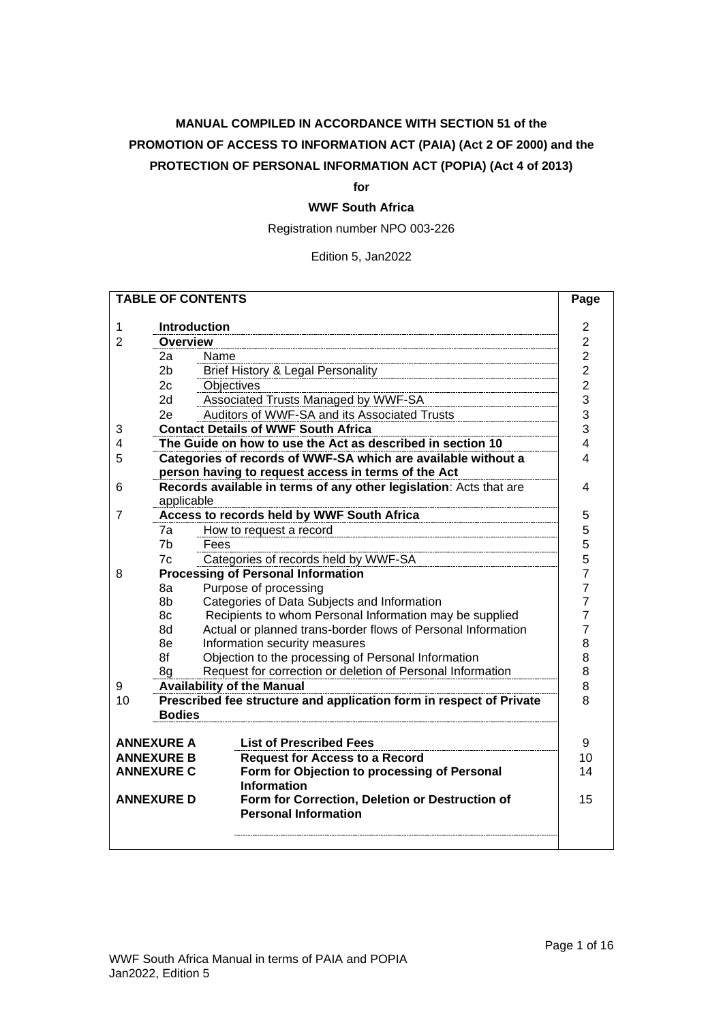## **MANUAL COMPILED IN ACCORDANCE WITH SECTION 51 of the PROMOTION OF ACCESS TO INFORMATION ACT (PAIA) (Act 2 OF 2000) and the PROTECTION OF PERSONAL INFORMATION ACT (POPIA) (Act 4 of 2013)**

#### **for**

## **WWF South Africa**

Registration number NPO 003-226

#### Edition 5, Jan2022

| <b>TABLE OF CONTENTS</b> |                                        |                                                                     |                                  |  |  |  |
|--------------------------|----------------------------------------|---------------------------------------------------------------------|----------------------------------|--|--|--|
| 1                        | <b>Introduction</b>                    |                                                                     | $\overline{2}$                   |  |  |  |
| $\overline{2}$           | <b>Overview</b>                        |                                                                     |                                  |  |  |  |
|                          | 2а                                     | Name                                                                | $\overline{c}$<br>$\overline{c}$ |  |  |  |
|                          | 2 <sub>b</sub>                         | <b>Brief History &amp; Legal Personality</b>                        | $\overline{c}$                   |  |  |  |
|                          | 2c                                     | Objectives                                                          | $\overline{2}$                   |  |  |  |
|                          | 2d                                     | Associated Trusts Managed by WWF-SA                                 | 3                                |  |  |  |
|                          | 2e                                     | Auditors of WWF-SA and its Associated Trusts                        | 3                                |  |  |  |
| 3                        |                                        | <b>Contact Details of WWF South Africa</b>                          | 3                                |  |  |  |
| 4                        |                                        | The Guide on how to use the Act as described in section 10          | 4                                |  |  |  |
| 5                        |                                        | Categories of records of WWF-SA which are available without a       | 4                                |  |  |  |
|                          |                                        | person having to request access in terms of the Act                 |                                  |  |  |  |
| 6                        |                                        | Records available in terms of any other legislation: Acts that are  | 4                                |  |  |  |
|                          | applicable                             |                                                                     |                                  |  |  |  |
| 7                        |                                        | Access to records held by WWF South Africa                          | 5                                |  |  |  |
|                          | 7a                                     | How to request a record                                             | 5                                |  |  |  |
|                          | 7 <sub>b</sub>                         | Fees                                                                | 5                                |  |  |  |
|                          | 7c                                     | Categories of records held by WWF-SA                                | 5                                |  |  |  |
| 8                        |                                        | <b>Processing of Personal Information</b>                           | $\overline{7}$                   |  |  |  |
|                          | 8a                                     | Purpose of processing<br>$\overline{7}$                             |                                  |  |  |  |
|                          | 8b                                     | Categories of Data Subjects and Information                         | 7                                |  |  |  |
|                          | 8c                                     | Recipients to whom Personal Information may be supplied             | 7                                |  |  |  |
|                          | 8d                                     | Actual or planned trans-border flows of Personal Information        | 7<br>8                           |  |  |  |
|                          | 8e                                     | Information security measures                                       |                                  |  |  |  |
|                          | 8f                                     | Objection to the processing of Personal Information                 | 8                                |  |  |  |
|                          | 8g                                     | Request for correction or deletion of Personal Information          | 8                                |  |  |  |
| 9                        | <b>Availability of the Manual</b><br>8 |                                                                     |                                  |  |  |  |
| 10                       | <b>Bodies</b>                          | Prescribed fee structure and application form in respect of Private | 8                                |  |  |  |
|                          |                                        |                                                                     |                                  |  |  |  |
|                          | <b>ANNEXURE A</b>                      | <b>List of Prescribed Fees</b>                                      | 9                                |  |  |  |
| <b>ANNEXURE B</b>        |                                        | <b>Request for Access to a Record</b>                               | 10                               |  |  |  |
|                          | <b>ANNEXURE C</b>                      | Form for Objection to processing of Personal                        | 14                               |  |  |  |
| <b>Information</b>       |                                        |                                                                     |                                  |  |  |  |
|                          | <b>ANNEXURE D</b>                      | Form for Correction, Deletion or Destruction of                     | 15                               |  |  |  |
|                          |                                        | <b>Personal Information</b>                                         |                                  |  |  |  |
|                          |                                        |                                                                     |                                  |  |  |  |
|                          |                                        |                                                                     |                                  |  |  |  |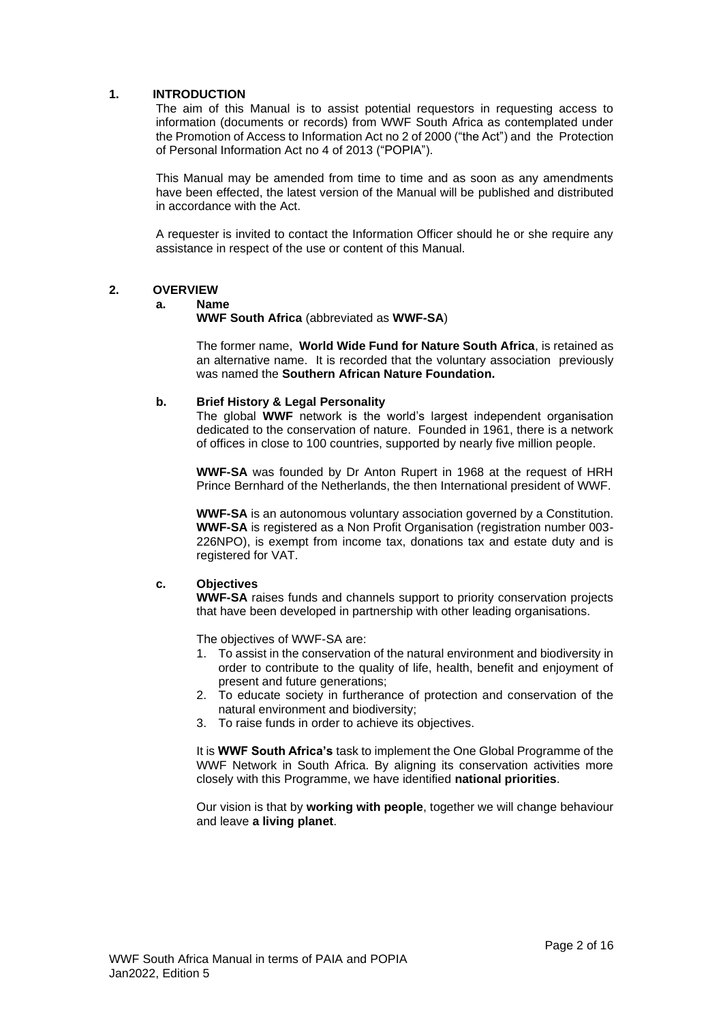#### <span id="page-1-0"></span>**1. INTRODUCTION**

The aim of this Manual is to assist potential requestors in requesting access to information (documents or records) from WWF South Africa as contemplated under the Promotion of Access to Information Act no 2 of 2000 ("the Act") and the Protection of Personal Information Act no 4 of 2013 ("POPIA").

This Manual may be amended from time to time and as soon as any amendments have been effected, the latest version of the Manual will be published and distributed in accordance with the Act.

A requester is invited to contact the Information Officer should he or she require any assistance in respect of the use or content of this Manual.

#### <span id="page-1-2"></span><span id="page-1-1"></span>**2. OVERVIEW**

#### **a. Name**

**WWF South Africa** (abbreviated as **WWF-SA**)

The former name, **World Wide Fund for Nature South Africa**, is retained as an alternative name. It is recorded that the voluntary association previously was named the **Southern African Nature Foundation.**

#### <span id="page-1-3"></span>**b. Brief History & Legal Personality**

The global **WWF** network is the world's largest independent organisation dedicated to the conservation of nature. Founded in 1961, there is a network of offices in close to 100 countries, supported by nearly five million people.

**WWF-SA** was founded by Dr Anton Rupert in 1968 at the request of HRH Prince Bernhard of the Netherlands, the then International president of WWF.

**WWF-SA** is an autonomous voluntary association governed by a Constitution. **WWF-SA** is registered as a Non Profit Organisation (registration number 003- 226NPO), is exempt from income tax, donations tax and estate duty and is registered for VAT.

#### <span id="page-1-4"></span>**c. Objectives**

**WWF-SA** raises funds and channels support to priority conservation projects that have been developed in partnership with other leading organisations.

The objectives of WWF-SA are:

- 1. To assist in the conservation of the natural environment and biodiversity in order to contribute to the quality of life, health, benefit and enjoyment of present and future generations;
- 2. To educate society in furtherance of protection and conservation of the natural environment and biodiversity;
- 3. To raise funds in order to achieve its objectives.

It is **WWF South Africa's** task to implement the One Global Programme of the WWF Network in South Africa. By aligning its conservation activities more closely with this Programme, we have identified **national priorities**.

Our vision is that by **working with people**, together we will change behaviour and leave **a living planet**.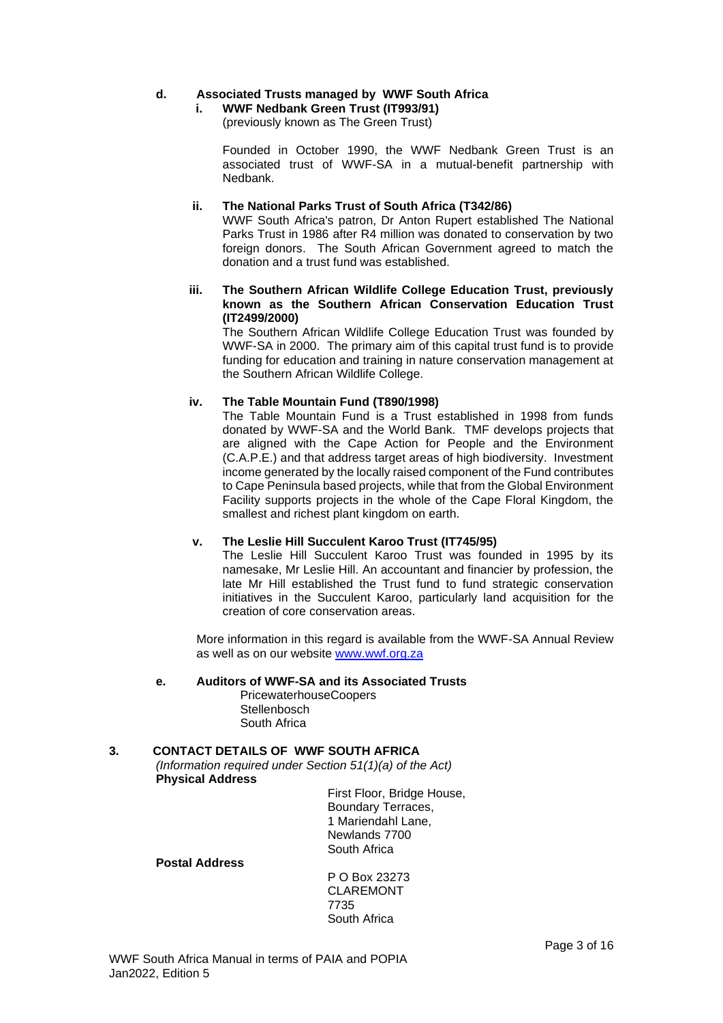#### <span id="page-2-0"></span>**d. Associated Trusts managed by WWF South Africa**

## **i. WWF Nedbank Green Trust (IT993/91)**

(previously known as The Green Trust)

Founded in October 1990, the WWF Nedbank Green Trust is an associated trust of WWF-SA in a mutual-benefit partnership with Nedbank.

#### **ii. The National Parks Trust of South Africa (T342/86)**

WWF South Africa's patron, Dr Anton Rupert established The National Parks Trust in 1986 after R4 million was donated to conservation by two foreign donors. The South African Government agreed to match the donation and a trust fund was established.

#### **iii. The Southern African Wildlife College Education Trust, previously known as the Southern African Conservation Education Trust (IT2499/2000)**

The Southern African Wildlife College Education Trust was founded by WWF-SA in 2000. The primary aim of this capital trust fund is to provide funding for education and training in nature conservation management at the Southern African Wildlife College.

#### **iv. The Table Mountain Fund (T890/1998)**

The Table Mountain Fund is a Trust established in 1998 from funds donated by WWF-SA and the World Bank. TMF develops projects that are aligned with the Cape Action for People and the Environment (C.A.P.E.) and that address target areas of high biodiversity. Investment income generated by the locally raised component of the Fund contributes to Cape Peninsula based projects, while that from the Global Environment Facility supports projects in the whole of the Cape Floral Kingdom, the smallest and richest plant kingdom on earth.

## **v. The Leslie Hill Succulent Karoo Trust (IT745/95)**

The Leslie Hill Succulent Karoo Trust was founded in 1995 by its namesake, Mr Leslie Hill. An accountant and financier by profession, the late Mr Hill established the Trust fund to fund strategic conservation initiatives in the Succulent Karoo, particularly land acquisition for the creation of core conservation areas.

More information in this regard is available from the WWF-SA Annual Review as well as on our website [www.wwf.org.za](http://www.wwf.org.za/)

## <span id="page-2-1"></span>**e. Auditors of WWF-SA and its Associated Trusts**

PricewaterhouseCoopers **Stellenbosch** South Africa

## <span id="page-2-2"></span>**3. CONTACT DETAILS OF WWF SOUTH AFRICA**

*(Information required under Section 51(1)(a) of the Act)* **Physical Address**

First Floor, Bridge House, Boundary Terraces, 1 Mariendahl Lane, Newlands 7700 South Africa

#### **Postal Address**

P O Box 23273 CLAREMONT 7735 South Africa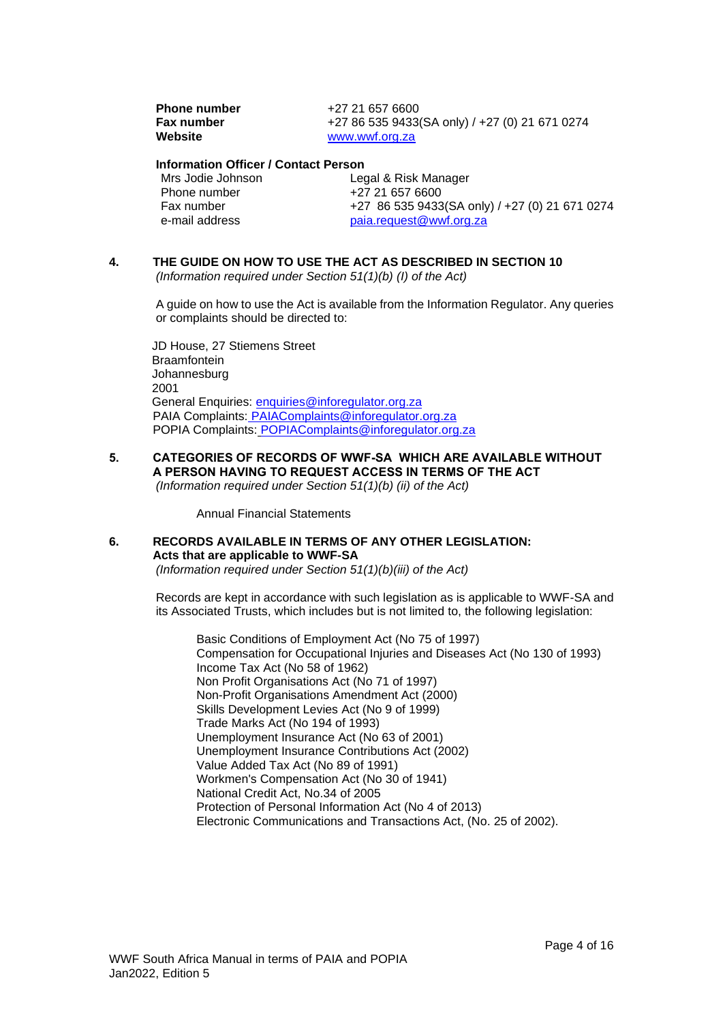**Phone number**  $+27 21 657 6600$ **Fax number** +27 86 535 9433(SA only) / +27 (0) 21 671 0274<br>Website www.wwf.org.za [www.wwf.org.za](http://www.wwf.org.za/)

# **Information Officer / Contact Person**

Phone number<br>Fax number

Legal & Risk Manager<br>+27 21 657 6600 Fax number  $+27$  86 535 9433(SA only) /  $+27$  (0) 21 671 0274<br>e-mail address paia.request@wwf.org.za paia.request@wwf.org.za

#### <span id="page-3-0"></span>**4. THE GUIDE ON HOW TO USE THE ACT AS DESCRIBED IN SECTION 10** *(Information required under Section 51(1)(b) (I) of the Act)*

A guide on how to use the Act is available from the Information Regulator. Any queries or complaints should be directed to:

JD House, 27 Stiemens Street **Braamfontein** Johannesburg 2001 General Enquiries: [enquiries@inforegulator.org.za](mailto:enquiries@inforegulator.org.za) PAIA Complaints: [PAIAComplaints@inforegulator.org.za](mailto:PAIAComplaints@inforegulator.org.za) POPIA Complaints: POPIAComplaints@inforegulator.org.za

<span id="page-3-1"></span>**5. CATEGORIES OF RECORDS OF WWF-SA WHICH ARE AVAILABLE WITHOUT A PERSON HAVING TO REQUEST ACCESS IN TERMS OF THE ACT** *(Information required under Section 51(1)(b) (ii) of the Act)*

Annual Financial Statements

<span id="page-3-2"></span>**6. RECORDS AVAILABLE IN TERMS OF ANY OTHER LEGISLATION: Acts that are applicable to WWF-SA** *(Information required under Section 51(1)(b)(iii) of the Act)*

> Records are kept in accordance with such legislation as is applicable to WWF-SA and its Associated Trusts, which includes but is not limited to, the following legislation:

Basic Conditions of Employment Act (No 75 of 1997) Compensation for Occupational Injuries and Diseases Act (No 130 of 1993) Income Tax Act (No 58 of 1962) Non Profit Organisations Act (No 71 of 1997) Non-Profit Organisations Amendment Act (2000) Skills Development Levies Act (No 9 of 1999) Trade Marks Act (No 194 of 1993) Unemployment Insurance Act (No 63 of 2001) Unemployment Insurance Contributions Act (2002) Value Added Tax Act (No 89 of 1991) Workmen's Compensation Act (No 30 of 1941) National Credit Act, No.34 of 2005 Protection of Personal Information Act (No 4 of 2013) Electronic Communications and Transactions Act, (No. 25 of 2002).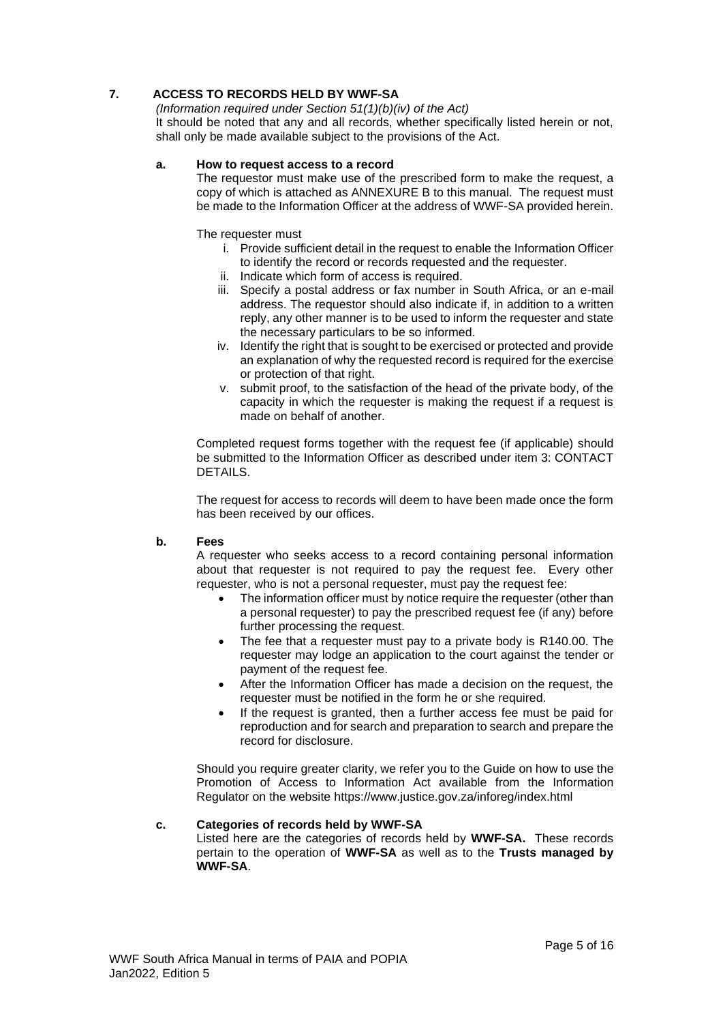## <span id="page-4-0"></span>**7. ACCESS TO RECORDS HELD BY WWF-SA**

*(Information required under Section 51(1)(b)(iv) of the Act)* It should be noted that any and all records, whether specifically listed herein or not, shall only be made available subject to the provisions of the Act.

#### <span id="page-4-1"></span>**a. How to request access to a record**

The requestor must make use of the prescribed form to make the request, a copy of which is attached as ANNEXURE B to this manual. The request must be made to the Information Officer at the address of WWF-SA provided herein.

The requester must

- i. Provide sufficient detail in the request to enable the Information Officer to identify the record or records requested and the requester.
- ii. Indicate which form of access is required.
- iii. Specify a postal address or fax number in South Africa, or an e-mail address. The requestor should also indicate if, in addition to a written reply, any other manner is to be used to inform the requester and state the necessary particulars to be so informed.
- iv. Identify the right that is sought to be exercised or protected and provide an explanation of why the requested record is required for the exercise or protection of that right.
- v. submit proof, to the satisfaction of the head of the private body, of the capacity in which the requester is making the request if a request is made on behalf of another.

Completed request forms together with the request fee (if applicable) should be submitted to the Information Officer as described under item 3: CONTACT DETAILS.

The request for access to records will deem to have been made once the form has been received by our offices.

#### <span id="page-4-2"></span>**b. Fees**

A requester who seeks access to a record containing personal information about that requester is not required to pay the request fee. Every other requester, who is not a personal requester, must pay the request fee:

- The information officer must by notice require the requester (other than a personal requester) to pay the prescribed request fee (if any) before further processing the request.
- The fee that a requester must pay to a private body is R140.00. The requester may lodge an application to the court against the tender or payment of the request fee.
- After the Information Officer has made a decision on the request, the requester must be notified in the form he or she required.
- If the request is granted, then a further access fee must be paid for reproduction and for search and preparation to search and prepare the record for disclosure.

Should you require greater clarity, we refer you to the Guide on how to use the Promotion of Access to Information Act available from the Information Regulator on the website https://www.justice.gov.za/inforeg/index.html

#### <span id="page-4-3"></span>**c. Categories of records held by WWF-SA**

Listed here are the categories of records held by **WWF-SA.** These records pertain to the operation of **WWF-SA** as well as to the **Trusts managed by WWF-SA**.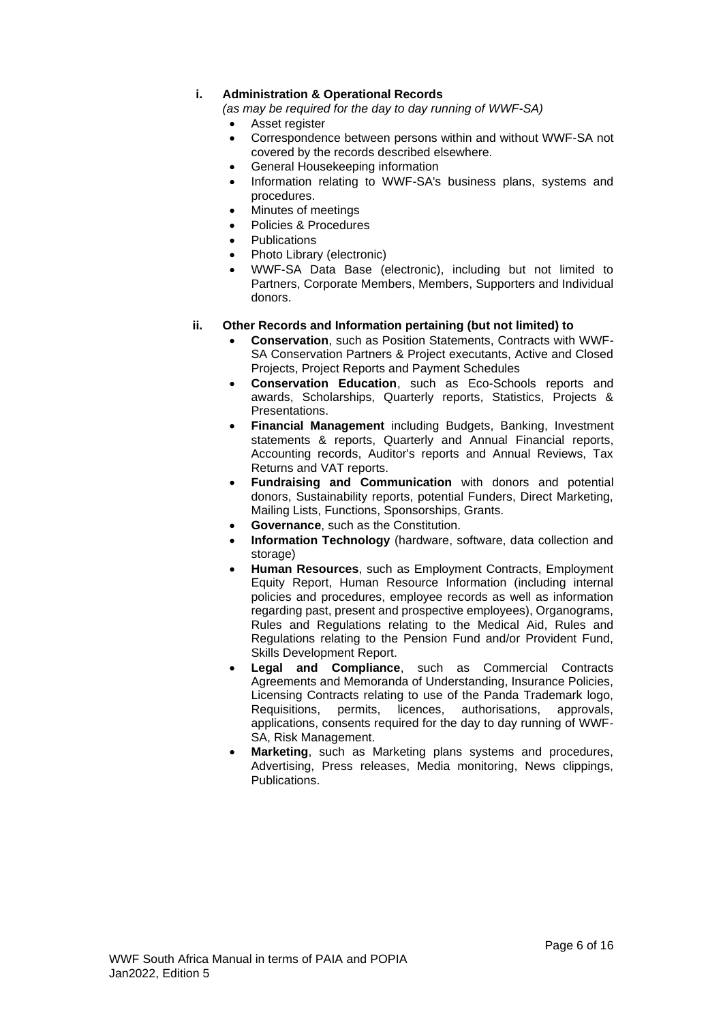## **i. Administration & Operational Records**

*(as may be required for the day to day running of WWF-SA)*

- Asset register
- Correspondence between persons within and without WWF-SA not covered by the records described elsewhere.
- General Housekeeping information
- Information relating to WWF-SA's business plans, systems and procedures.
- Minutes of meetings
- Policies & Procedures
- **Publications**
- Photo Library (electronic)
- WWF-SA Data Base (electronic), including but not limited to Partners, Corporate Members, Members, Supporters and Individual donors.

#### **ii. Other Records and Information pertaining (but not limited) to**

- **Conservation**, such as Position Statements, Contracts with WWF-SA Conservation Partners & Project executants, Active and Closed Projects, Project Reports and Payment Schedules
- **Conservation Education**, such as Eco-Schools reports and awards, Scholarships, Quarterly reports, Statistics, Projects & Presentations.
- **Financial Management** including Budgets, Banking, Investment statements & reports, Quarterly and Annual Financial reports, Accounting records, Auditor's reports and Annual Reviews, Tax Returns and VAT reports.
- **Fundraising and Communication** with donors and potential donors, Sustainability reports, potential Funders, Direct Marketing, Mailing Lists, Functions, Sponsorships, Grants.
- **Governance**, such as the Constitution.
- **Information Technology** (hardware, software, data collection and storage)
- **Human Resources**, such as Employment Contracts, Employment Equity Report, Human Resource Information (including internal policies and procedures, employee records as well as information regarding past, present and prospective employees), Organograms, Rules and Regulations relating to the Medical Aid, Rules and Regulations relating to the Pension Fund and/or Provident Fund, Skills Development Report.
- **Legal and Compliance**, such as Commercial Contracts Agreements and Memoranda of Understanding, Insurance Policies, Licensing Contracts relating to use of the Panda Trademark logo, Requisitions, permits, licences, authorisations, approvals, applications, consents required for the day to day running of WWF-SA, Risk Management.
- **Marketing**, such as Marketing plans systems and procedures, Advertising, Press releases, Media monitoring, News clippings, Publications.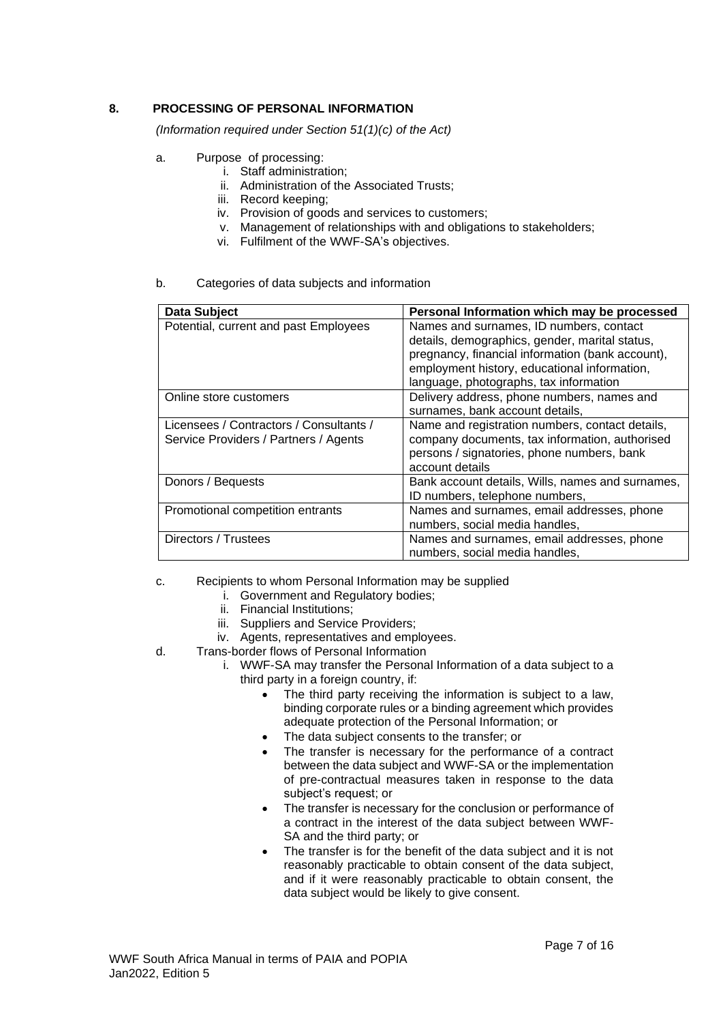## <span id="page-6-0"></span>**8. PROCESSING OF PERSONAL INFORMATION**

*(Information required under Section 51(1)(c) of the Act)*

- <span id="page-6-1"></span>a. Purpose of processing:
	- i. Staff administration;
		- ii. Administration of the Associated Trusts;
	- iii. Record keeping;
	- iv. Provision of goods and services to customers;
	- v. Management of relationships with and obligations to stakeholders;
		- vi. Fulfilment of the WWF-SA's objectives.

#### <span id="page-6-2"></span>b. Categories of data subjects and information

| <b>Data Subject</b>                                                              | Personal Information which may be processed                                                                                                                                                                                             |
|----------------------------------------------------------------------------------|-----------------------------------------------------------------------------------------------------------------------------------------------------------------------------------------------------------------------------------------|
| Potential, current and past Employees                                            | Names and surnames, ID numbers, contact<br>details, demographics, gender, marital status,<br>pregnancy, financial information (bank account),<br>employment history, educational information,<br>language, photographs, tax information |
| Online store customers                                                           | Delivery address, phone numbers, names and<br>surnames, bank account details,                                                                                                                                                           |
| Licensees / Contractors / Consultants /<br>Service Providers / Partners / Agents | Name and registration numbers, contact details,<br>company documents, tax information, authorised<br>persons / signatories, phone numbers, bank<br>account details                                                                      |
| Donors / Bequests                                                                | Bank account details, Wills, names and surnames,<br>ID numbers, telephone numbers,                                                                                                                                                      |
| Promotional competition entrants                                                 | Names and surnames, email addresses, phone<br>numbers, social media handles,                                                                                                                                                            |
| Directors / Trustees                                                             | Names and surnames, email addresses, phone<br>numbers, social media handles,                                                                                                                                                            |

#### <span id="page-6-3"></span>c. Recipients to whom Personal Information may be supplied

- i. Government and Regulatory bodies;
- ii. Financial Institutions;
- iii. Suppliers and Service Providers;
- iv. Agents, representatives and employees.
- <span id="page-6-4"></span>d. Trans-border flows of Personal Information
	- i. WWF-SA may transfer the Personal Information of a data subject to a third party in a foreign country, if:
		- The third party receiving the information is subject to a law, binding corporate rules or a binding agreement which provides adequate protection of the Personal Information; or
		- The data subject consents to the transfer; or
		- The transfer is necessary for the performance of a contract between the data subject and WWF-SA or the implementation of pre-contractual measures taken in response to the data subject's request; or
		- The transfer is necessary for the conclusion or performance of a contract in the interest of the data subject between WWF-SA and the third party; or
		- The transfer is for the benefit of the data subject and it is not reasonably practicable to obtain consent of the data subject, and if it were reasonably practicable to obtain consent, the data subject would be likely to give consent.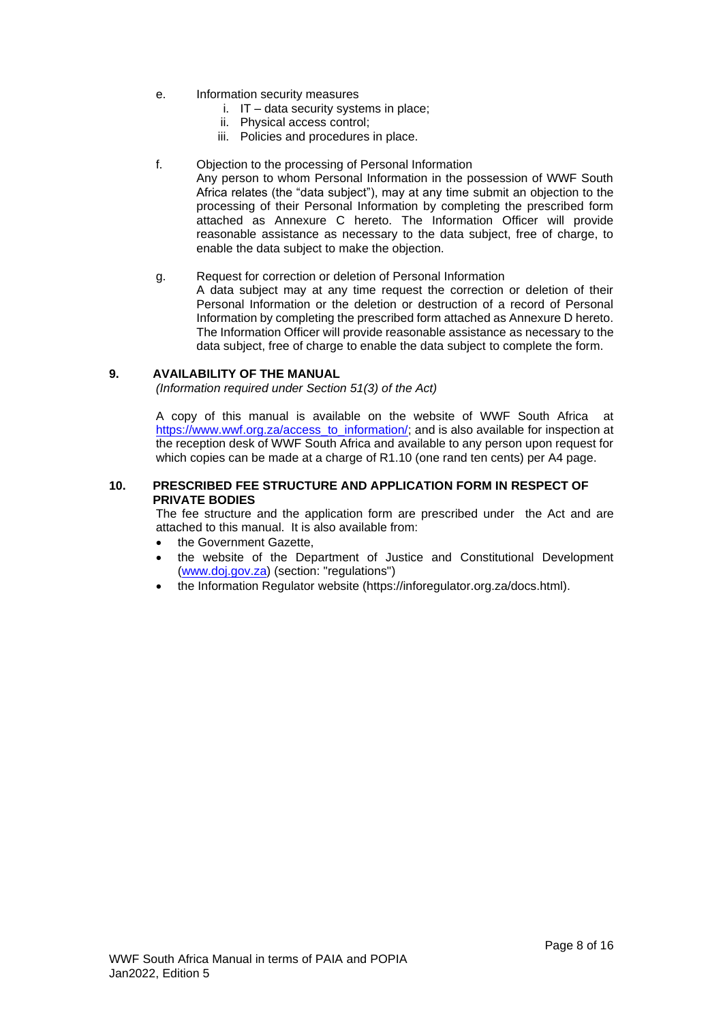- <span id="page-7-0"></span>e. Information security measures
	- i. IT data security systems in place;
	- ii. Physical access control;
	- iii. Policies and procedures in place.
- <span id="page-7-1"></span>f. Objection to the processing of Personal Information

Any person to whom Personal Information in the possession of WWF South Africa relates (the "data subject"), may at any time submit an objection to the processing of their Personal Information by completing the prescribed form attached as Annexure C hereto. The Information Officer will provide reasonable assistance as necessary to the data subject, free of charge, to enable the data subject to make the objection.

#### <span id="page-7-2"></span>g. Request for correction or deletion of Personal Information

A data subject may at any time request the correction or deletion of their Personal Information or the deletion or destruction of a record of Personal Information by completing the prescribed form attached as Annexure D hereto. The Information Officer will provide reasonable assistance as necessary to the data subject, free of charge to enable the data subject to complete the form.

#### <span id="page-7-3"></span>**9. AVAILABILITY OF THE MANUAL**

*(Information required under Section 51(3) of the Act)*

A copy of this manual is available on the website of WWF South Africa at [https://www.wwf.org.za/access\\_to\\_information/;](https://www.wwf.org.za/access_to_information/) and is also available for inspection at the reception desk of WWF South Africa and available to any person upon request for which copies can be made at a charge of R1.10 (one rand ten cents) per A4 page.

#### <span id="page-7-4"></span>**10. PRESCRIBED FEE STRUCTURE AND APPLICATION FORM IN RESPECT OF PRIVATE BODIES**

The fee structure and the application form are prescribed under the Act and are attached to this manual. It is also available from:

- the Government Gazette.
- the website of the Department of Justice and Constitutional Development [\(www.doj.gov.za\)](http://www.doj.gov.za/) (section: "regulations")
- the Information Regulator website (https://inforegulator.org.za/docs.html).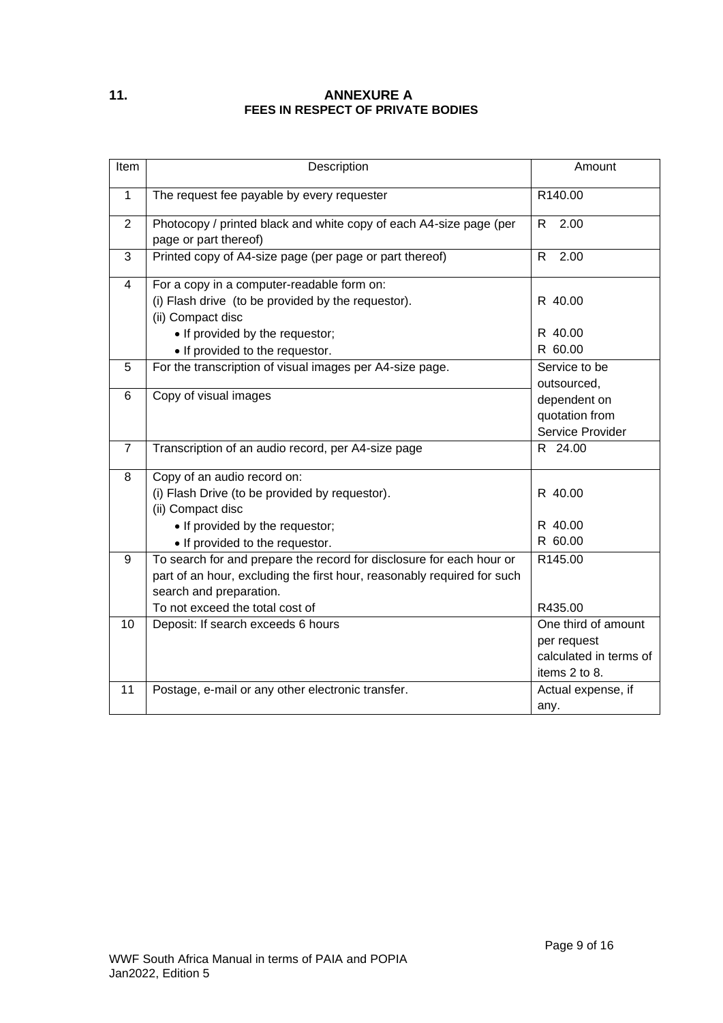## <span id="page-8-0"></span>**11. ANNEXURE A FEES IN RESPECT OF PRIVATE BODIES**

| Item           | Description                                                                                                                                                                                                   | Amount                                                                        |
|----------------|---------------------------------------------------------------------------------------------------------------------------------------------------------------------------------------------------------------|-------------------------------------------------------------------------------|
| $\mathbf{1}$   | The request fee payable by every requester                                                                                                                                                                    | R140.00                                                                       |
| $\overline{2}$ | Photocopy / printed black and white copy of each A4-size page (per<br>page or part thereof)                                                                                                                   | R<br>2.00                                                                     |
| 3              | Printed copy of A4-size page (per page or part thereof)                                                                                                                                                       | R.<br>2.00                                                                    |
| $\overline{4}$ | For a copy in a computer-readable form on:<br>(i) Flash drive (to be provided by the requestor).<br>(ii) Compact disc                                                                                         | R 40.00                                                                       |
|                | • If provided by the requestor;<br>• If provided to the requestor.                                                                                                                                            | R 40.00<br>R 60.00                                                            |
| 5              | For the transcription of visual images per A4-size page.                                                                                                                                                      | Service to be<br>outsourced,                                                  |
| 6              | Copy of visual images                                                                                                                                                                                         | dependent on<br>quotation from<br>Service Provider                            |
| $\overline{7}$ | Transcription of an audio record, per A4-size page                                                                                                                                                            | R 24.00                                                                       |
| 8              | Copy of an audio record on:<br>(i) Flash Drive (to be provided by requestor).<br>(ii) Compact disc<br>• If provided by the requestor;<br>• If provided to the requestor.                                      | R 40.00<br>R 40.00<br>R 60.00                                                 |
| 9              | To search for and prepare the record for disclosure for each hour or<br>part of an hour, excluding the first hour, reasonably required for such<br>search and preparation.<br>To not exceed the total cost of | R145.00<br>R435.00                                                            |
| 10             | Deposit: If search exceeds 6 hours                                                                                                                                                                            | One third of amount<br>per request<br>calculated in terms of<br>items 2 to 8. |
| 11             | Postage, e-mail or any other electronic transfer.                                                                                                                                                             | Actual expense, if<br>any.                                                    |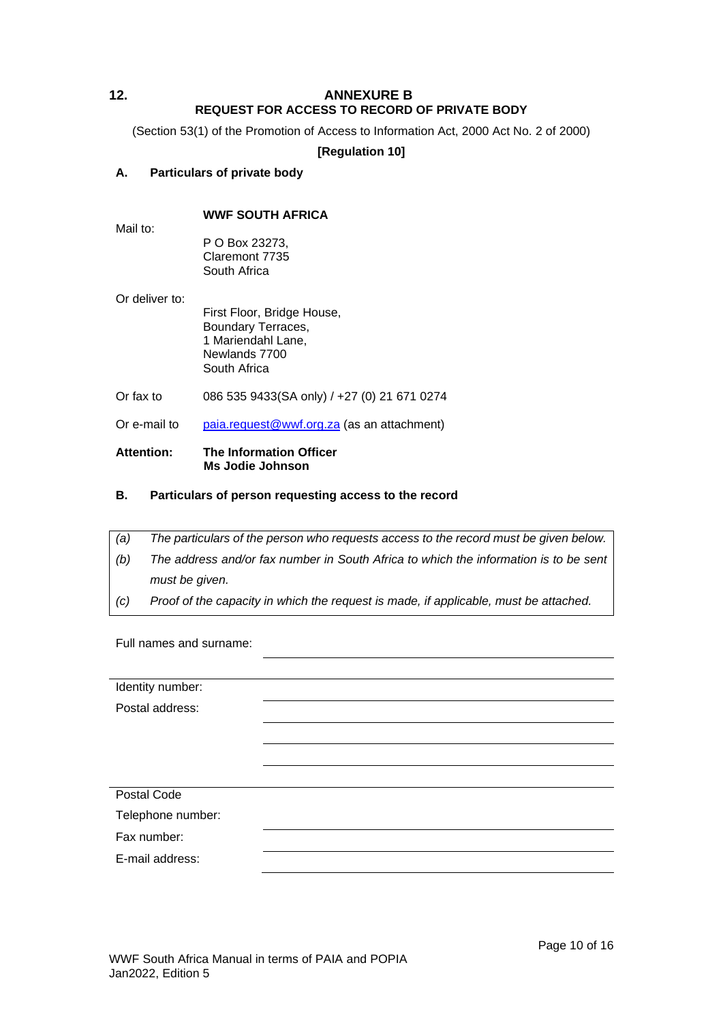## <span id="page-9-0"></span>**12. ANNEXURE B REQUEST FOR ACCESS TO RECORD OF PRIVATE BODY**

(Section 53(1) of the Promotion of Access to Information Act, 2000 Act No. 2 of 2000)

## **[Regulation 10]**

## **A. Particulars of private body**

Mail to:

## **WWF SOUTH AFRICA**

P O Box 23273, Claremont 7735 South Africa

Or deliver to:

First Floor, Bridge House, Boundary Terraces, 1 Mariendahl Lane, Newlands 7700 South Africa

Or fax to 086 535 9433(SA only) / +27 (0) 21 671 0274

Or e-mail to [paia.request@wwf.org.za](mailto:paia.request@wwf.org.za) (as an attachment)

#### **Attention: The Information Officer Ms Jodie Johnson**

## **B. Particulars of person requesting access to the record**

- *(a) The particulars of the person who requests access to the record must be given below.*
- *(b) The address and/or fax number in South Africa to which the information is to be sent must be given.*
- *(c) Proof of the capacity in which the request is made, if applicable, must be attached.*

Full names and surname:

| Identity number:  |  |
|-------------------|--|
| Postal address:   |  |
|                   |  |
|                   |  |
|                   |  |
| Postal Code       |  |
| Telephone number: |  |
| Fax number:       |  |
| E-mail address:   |  |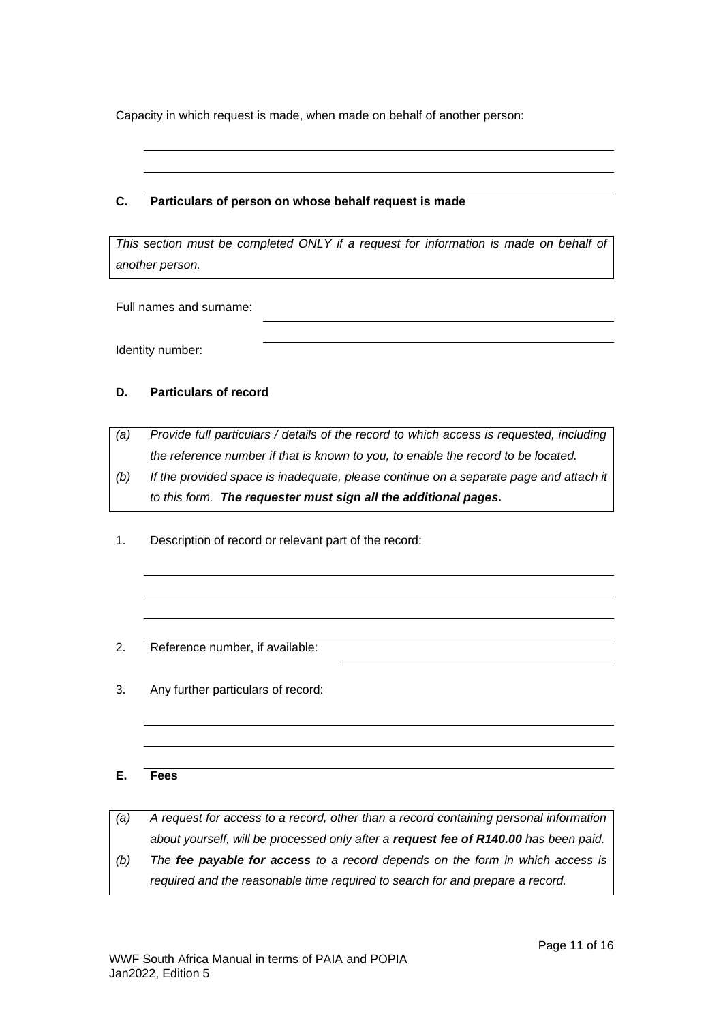Capacity in which request is made, when made on behalf of another person:

## **C. Particulars of person on whose behalf request is made**

This section must be completed ONLY if a request for information is made on behalf of *another person.*

Full names and surname:

Identity number:

## **D. Particulars of record**

*(a) Provide full particulars / details of the record to which access is requested, including the reference number if that is known to you, to enable the record to be located.*

- *(b) If the provided space is inadequate, please continue on a separate page and attach it to this form. The requester must sign all the additional pages.*
- 1. Description of record or relevant part of the record:
- 2. Reference number, if available:
- 3. Any further particulars of record:

## **E. Fees**

*(a) A request for access to a record, other than a record containing personal information about yourself, will be processed only after a request fee of R140.00 has been paid.*

*(b) The fee payable for access to a record depends on the form in which access is required and the reasonable time required to search for and prepare a record.*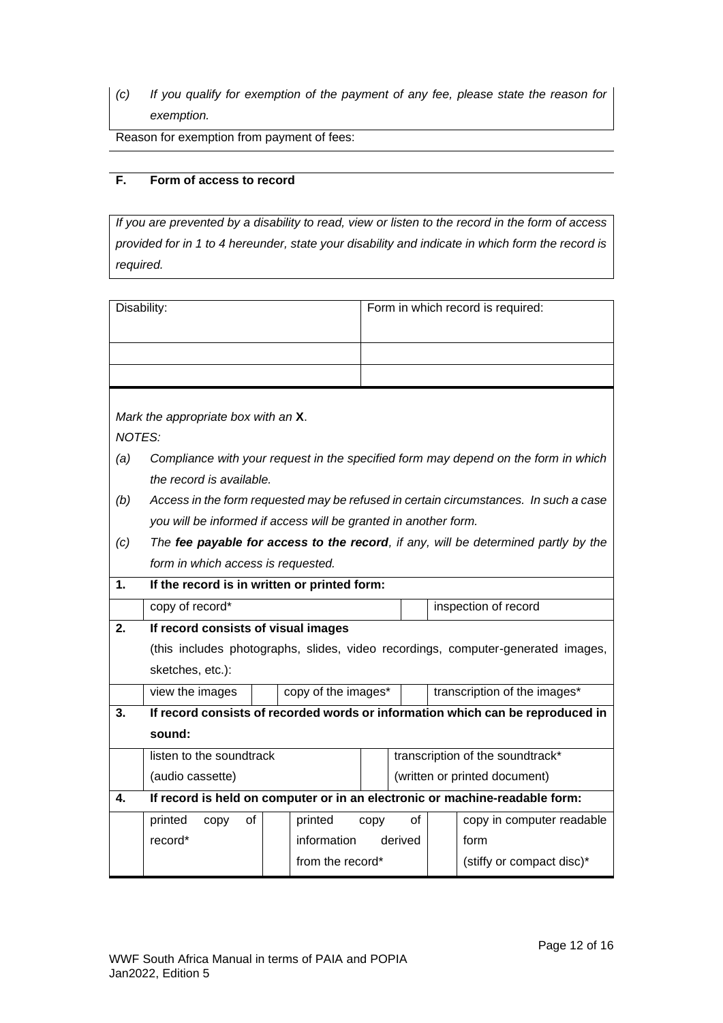*(c) If you qualify for exemption of the payment of any fee, please state the reason for exemption.*

Reason for exemption from payment of fees:

## **F. Form of access to record**

*If you are prevented by a disability to read, view or listen to the record in the form of access provided for in 1 to 4 hereunder, state your disability and indicate in which form the record is required.*

| Disability:   |                                                                                    |  |                     |      |         |                              | Form in which record is required:                                                    |
|---------------|------------------------------------------------------------------------------------|--|---------------------|------|---------|------------------------------|--------------------------------------------------------------------------------------|
|               |                                                                                    |  |                     |      |         |                              |                                                                                      |
|               |                                                                                    |  |                     |      |         |                              |                                                                                      |
|               |                                                                                    |  |                     |      |         |                              |                                                                                      |
|               | Mark the appropriate box with an X.                                                |  |                     |      |         |                              |                                                                                      |
| <b>NOTES:</b> |                                                                                    |  |                     |      |         |                              |                                                                                      |
| (a)           |                                                                                    |  |                     |      |         |                              | Compliance with your request in the specified form may depend on the form in which   |
|               | the record is available.                                                           |  |                     |      |         |                              |                                                                                      |
| (b)           |                                                                                    |  |                     |      |         |                              | Access in the form requested may be refused in certain circumstances. In such a case |
|               | you will be informed if access will be granted in another form.                    |  |                     |      |         |                              |                                                                                      |
| (c)           | The fee payable for access to the record, if any, will be determined partly by the |  |                     |      |         |                              |                                                                                      |
|               | form in which access is requested.                                                 |  |                     |      |         |                              |                                                                                      |
| 1.            | If the record is in written or printed form:                                       |  |                     |      |         |                              |                                                                                      |
|               | copy of record*<br>inspection of record                                            |  |                     |      |         |                              |                                                                                      |
| 2.            | If record consists of visual images                                                |  |                     |      |         |                              |                                                                                      |
|               | (this includes photographs, slides, video recordings, computer-generated images,   |  |                     |      |         |                              |                                                                                      |
|               | sketches, etc.):                                                                   |  |                     |      |         |                              |                                                                                      |
|               | view the images                                                                    |  | copy of the images* |      |         | transcription of the images* |                                                                                      |
| 3.            | If record consists of recorded words or information which can be reproduced in     |  |                     |      |         |                              |                                                                                      |
|               | sound:                                                                             |  |                     |      |         |                              |                                                                                      |
|               | listen to the soundtrack                                                           |  |                     |      |         |                              | transcription of the soundtrack*                                                     |
|               | (audio cassette)                                                                   |  |                     |      |         |                              | (written or printed document)                                                        |
| 4.            | If record is held on computer or in an electronic or machine-readable form:        |  |                     |      |         |                              |                                                                                      |
|               | printed<br>οf<br>copy                                                              |  | printed             | copy | οf      |                              | copy in computer readable                                                            |
|               | record*                                                                            |  | information         |      | derived |                              | form                                                                                 |
|               |                                                                                    |  | from the record*    |      |         |                              | (stiffy or compact disc)*                                                            |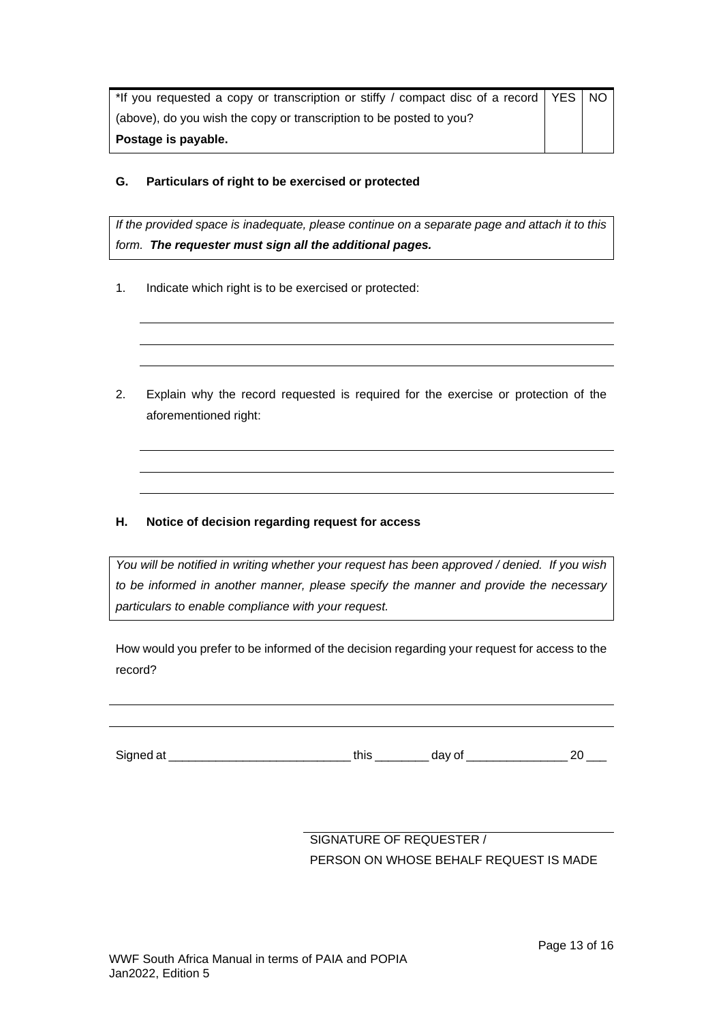| *If you requested a copy or transcription or stiffy / compact disc of a record   YES   NO |  |  |
|-------------------------------------------------------------------------------------------|--|--|
| (above), do you wish the copy or transcription to be posted to you?                       |  |  |
| Postage is payable.                                                                       |  |  |

## **G. Particulars of right to be exercised or protected**

*If the provided space is inadequate, please continue on a separate page and attach it to this form. The requester must sign all the additional pages.*

- 1. Indicate which right is to be exercised or protected:
- 2. Explain why the record requested is required for the exercise or protection of the aforementioned right:

## **H. Notice of decision regarding request for access**

*You will be notified in writing whether your request has been approved / denied. If you wish to be informed in another manner, please specify the manner and provide the necessary particulars to enable compliance with your request.*

How would you prefer to be informed of the decision regarding your request for access to the record?

Signed at \_\_\_\_\_\_\_\_\_\_\_\_\_\_\_\_\_\_\_\_\_\_\_\_\_\_\_ this \_\_\_\_\_\_\_\_ day of \_\_\_\_\_\_\_\_\_\_\_\_\_\_\_ 20 \_\_\_

SIGNATURE OF REQUESTER / PERSON ON WHOSE BEHALF REQUEST IS MADE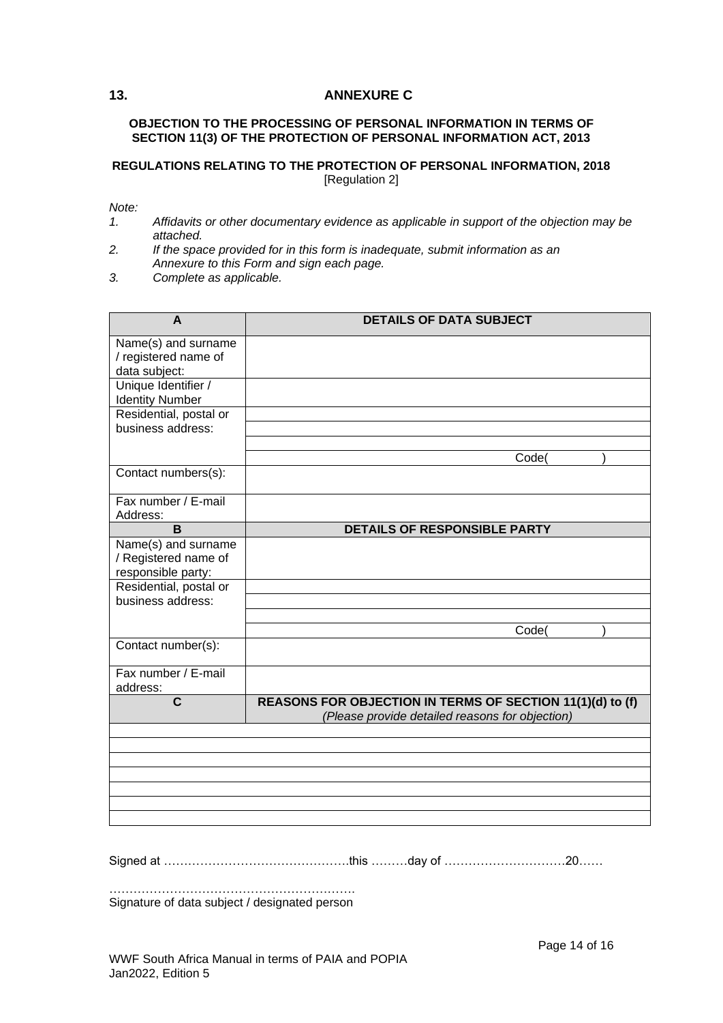## <span id="page-13-0"></span>**13. ANNEXURE C**

#### **OBJECTION TO THE PROCESSING OF PERSONAL INFORMATION IN TERMS OF SECTION 11(3) OF THE PROTECTION OF PERSONAL INFORMATION ACT, 2013**

#### **REGULATIONS RELATING TO THE PROTECTION OF PERSONAL INFORMATION, 2018** [Regulation 2]

*Note:*

- *1. Affidavits or other documentary evidence as applicable in support of the objection may be attached.*
- *2. If the space provided for in this form is inadequate, submit information as an Annexure to this Form and sign each page.*
- *3. Complete as applicable.*

| A                                                                 | <b>DETAILS OF DATA SUBJECT</b>                                                                               |
|-------------------------------------------------------------------|--------------------------------------------------------------------------------------------------------------|
| Name(s) and surname<br>/ registered name of<br>data subject:      |                                                                                                              |
| Unique Identifier /<br><b>Identity Number</b>                     |                                                                                                              |
| Residential, postal or<br>business address:                       |                                                                                                              |
|                                                                   | Code(                                                                                                        |
| Contact numbers(s):                                               |                                                                                                              |
| Fax number / E-mail<br>Address:                                   |                                                                                                              |
| B                                                                 | DETAILS OF RESPONSIBLE PARTY                                                                                 |
| Name(s) and surname<br>/ Registered name of<br>responsible party: |                                                                                                              |
| Residential, postal or<br>business address:                       |                                                                                                              |
|                                                                   | Code(                                                                                                        |
| Contact number(s):                                                |                                                                                                              |
| Fax number / E-mail<br>address:                                   |                                                                                                              |
| $\mathbf c$                                                       | REASONS FOR OBJECTION IN TERMS OF SECTION 11(1)(d) to (f)<br>(Please provide detailed reasons for objection) |
|                                                                   |                                                                                                              |
|                                                                   |                                                                                                              |
|                                                                   |                                                                                                              |
|                                                                   |                                                                                                              |
|                                                                   |                                                                                                              |
|                                                                   |                                                                                                              |

Signed at ……………………………………….this ………day of …………………………20……

……………………………………………………. Signature of data subject / designated person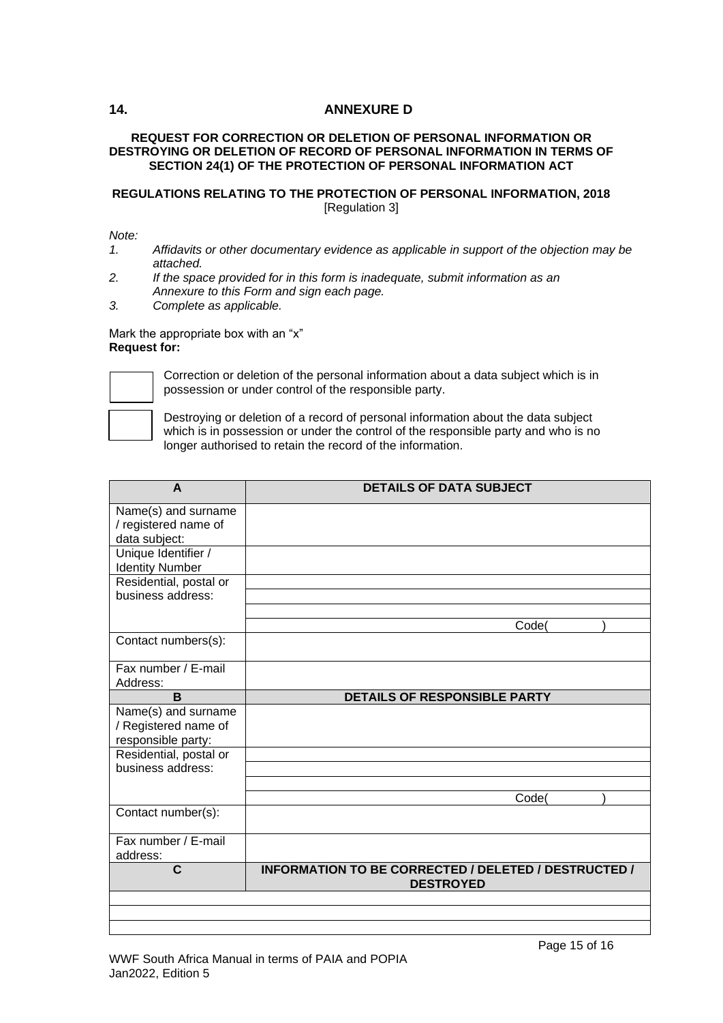## <span id="page-14-0"></span>**14. ANNEXURE D**

## **REQUEST FOR CORRECTION OR DELETION OF PERSONAL INFORMATION OR DESTROYING OR DELETION OF RECORD OF PERSONAL INFORMATION IN TERMS OF SECTION 24(1) OF THE PROTECTION OF PERSONAL INFORMATION ACT**

## **REGULATIONS RELATING TO THE PROTECTION OF PERSONAL INFORMATION, 2018** [Regulation 3]

#### *Note:*

- *1. Affidavits or other documentary evidence as applicable in support of the objection may be attached.*
- *2. If the space provided for in this form is inadequate, submit information as an Annexure to this Form and sign each page.*
- *3. Complete as applicable.*

#### Mark the appropriate box with an "x" **Request for:**



Correction or deletion of the personal information about a data subject which is in possession or under control of the responsible party.

Destroying or deletion of a record of personal information about the data subject which is in possession or under the control of the responsible party and who is no longer authorised to retain the record of the information.

| A                                           | <b>DETAILS OF DATA SUBJECT</b>                       |
|---------------------------------------------|------------------------------------------------------|
| Name(s) and surname                         |                                                      |
| / registered name of                        |                                                      |
| data subject:                               |                                                      |
| Unique Identifier /                         |                                                      |
| <b>Identity Number</b>                      |                                                      |
| Residential, postal or                      |                                                      |
| business address:                           |                                                      |
|                                             |                                                      |
|                                             | Code(                                                |
| Contact numbers(s):                         |                                                      |
| Fax number / E-mail                         |                                                      |
| Address:                                    |                                                      |
| B                                           | <b>DETAILS OF RESPONSIBLE PARTY</b>                  |
| Name(s) and surname                         |                                                      |
| / Registered name of                        |                                                      |
| responsible party:                          |                                                      |
| Residential, postal or<br>business address: |                                                      |
|                                             |                                                      |
|                                             | Code(                                                |
| Contact number(s):                          |                                                      |
|                                             |                                                      |
| Fax number / E-mail                         |                                                      |
| address:                                    |                                                      |
| C                                           | INFORMATION TO BE CORRECTED / DELETED / DESTRUCTED / |
|                                             | <b>DESTROYED</b>                                     |
|                                             |                                                      |
|                                             |                                                      |